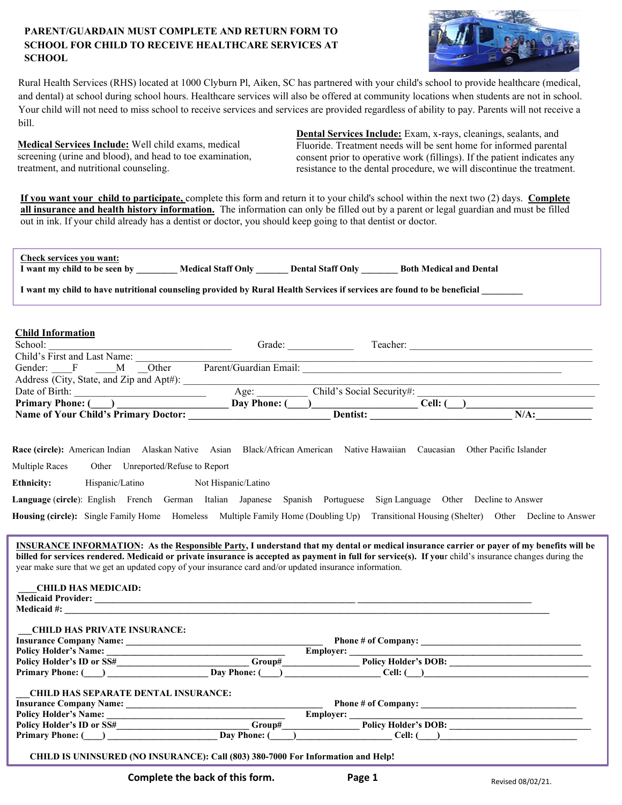## **PARENT/GUARDAIN MUST COMPLETE AND RETURN FORM TO SCHOOL FOR CHILD TO RECEIVE HEALTHCARE SERVICES AT SCHOOL**



and dental) at school during school hours. Healthcare services will also be offered at community locations when students are not in school. Your child will not need to miss school to receive services and services are provided regardless of ability to pay. Parents will not receive a Rural Health Services (RHS) located at 1000 Clyburn Pl, Aiken, SC has partnered with your child's school to provide healthcare (medical, bill.

**Medical Services Include:** Well child exams, medical screening (urine and blood), and head to toe examination, treatment, and nutritional counseling.

**Dental Services Include:** Exam, x-rays, cleanings, sealants, and Fluoride. Treatment needs will be sent home for informed parental consent prior to operative work (fillings). If the patient indicates any resistance to the dental procedure, we will discontinue the treatment.

**If you want your child to participate,** complete this form and return it to your child's school within the next two (2) days. **Complete all insurance and health history information.** The information can only be filled out by a parent or legal guardian and must be filled out in ink. If your child already has a dentist or doctor, you should keep going to that dentist or doctor.

| Check services you want:<br>I want my child to be seen by _______ Medical Staff Only ______ Dental Staff Only ______ Both Medical and Dental                                                                                                                                                                                                     |  |                                                                                                                                                                                                                                                                                                                                                                                                                                                        |  |  |  |
|--------------------------------------------------------------------------------------------------------------------------------------------------------------------------------------------------------------------------------------------------------------------------------------------------------------------------------------------------|--|--------------------------------------------------------------------------------------------------------------------------------------------------------------------------------------------------------------------------------------------------------------------------------------------------------------------------------------------------------------------------------------------------------------------------------------------------------|--|--|--|
| I want my child to have nutritional counseling provided by Rural Health Services if services are found to be beneficial                                                                                                                                                                                                                          |  |                                                                                                                                                                                                                                                                                                                                                                                                                                                        |  |  |  |
|                                                                                                                                                                                                                                                                                                                                                  |  |                                                                                                                                                                                                                                                                                                                                                                                                                                                        |  |  |  |
| <b>Child Information</b>                                                                                                                                                                                                                                                                                                                         |  |                                                                                                                                                                                                                                                                                                                                                                                                                                                        |  |  |  |
|                                                                                                                                                                                                                                                                                                                                                  |  |                                                                                                                                                                                                                                                                                                                                                                                                                                                        |  |  |  |
| Child's First and Last Name:                                                                                                                                                                                                                                                                                                                     |  |                                                                                                                                                                                                                                                                                                                                                                                                                                                        |  |  |  |
|                                                                                                                                                                                                                                                                                                                                                  |  | Gender: F M Outel<br>Address (City, State, and Zip and Apt#): <u>Age: Age: Child's Social Security#:</u> Cell: (                                                                                                                                                                                                                                                                                                                                       |  |  |  |
|                                                                                                                                                                                                                                                                                                                                                  |  |                                                                                                                                                                                                                                                                                                                                                                                                                                                        |  |  |  |
| Date of Birth:<br>Primary Phone: ( )<br>Name of Your Child's Primary Doctor: Day Phone: ( )<br>Day Phone: ( )<br>Dentist: Cell: ( )<br>Dentist: Name of Your Child's Primary Doctor: 2014.                                                                                                                                                       |  |                                                                                                                                                                                                                                                                                                                                                                                                                                                        |  |  |  |
|                                                                                                                                                                                                                                                                                                                                                  |  | $N/A$ :                                                                                                                                                                                                                                                                                                                                                                                                                                                |  |  |  |
|                                                                                                                                                                                                                                                                                                                                                  |  |                                                                                                                                                                                                                                                                                                                                                                                                                                                        |  |  |  |
| Multiple Races<br>Other Unreported/Refuse to Report<br>Hispanic/Latino Not Hispanic/Latino<br><b>Ethnicity:</b><br>Language (circle): English French German Italian Japanese Spanish Portuguese Sign Language Other Decline to Answer<br>year make sure that we get an updated copy of your insurance card and/or updated insurance information. |  | Housing (circle): Single Family Home Homeless Multiple Family Home (Doubling Up) Transitional Housing (Shelter) Other Decline to Answer<br><b>INSURANCE INFORMATION:</b> As the Responsible Party, I understand that my dental or medical insurance carrier or payer of my benefits will be<br>billed for services rendered. Medicaid or private insurance is accepted as payment in full for service(s). If your child's insurance changes during the |  |  |  |
| <b>CHILD HAS MEDICAID:</b><br><b>CHILD HAS PRIVATE INSURANCE:</b>                                                                                                                                                                                                                                                                                |  |                                                                                                                                                                                                                                                                                                                                                                                                                                                        |  |  |  |
|                                                                                                                                                                                                                                                                                                                                                  |  |                                                                                                                                                                                                                                                                                                                                                                                                                                                        |  |  |  |
|                                                                                                                                                                                                                                                                                                                                                  |  | Policy Holder's Name:<br>Policy Holder's D or SS# Primary Phone: ( and Day Phone: ( and Day Phone: ( and Day Phone: ( and Day Phone: ( and Day Phone: ( and Day Phone: ( and Day Phone: ( and Day Phone: ( and Day Phone: ( and                                                                                                                                                                                                                        |  |  |  |
|                                                                                                                                                                                                                                                                                                                                                  |  |                                                                                                                                                                                                                                                                                                                                                                                                                                                        |  |  |  |
|                                                                                                                                                                                                                                                                                                                                                  |  |                                                                                                                                                                                                                                                                                                                                                                                                                                                        |  |  |  |
| <b>CHILD HAS SEPARATE DENTAL INSURANCE:</b>                                                                                                                                                                                                                                                                                                      |  |                                                                                                                                                                                                                                                                                                                                                                                                                                                        |  |  |  |
|                                                                                                                                                                                                                                                                                                                                                  |  |                                                                                                                                                                                                                                                                                                                                                                                                                                                        |  |  |  |
|                                                                                                                                                                                                                                                                                                                                                  |  |                                                                                                                                                                                                                                                                                                                                                                                                                                                        |  |  |  |
|                                                                                                                                                                                                                                                                                                                                                  |  | Thisurance Company Name:<br>Policy Holder's Name:<br>Policy Holder's ID or SS#<br>Primary Phone: ( <u>Bay Phone: ( Day Phone: ( Day Phone: ( Day Phone: ( Day Phone: ( Day Phone: ( Day Phone: ( Day Phone: ( Day Phone: ( Dell: ( D</u>                                                                                                                                                                                                               |  |  |  |
| CHILD IS UNINSURED (NO INSURANCE): Call (803) 380-7000 For Information and Help!                                                                                                                                                                                                                                                                 |  |                                                                                                                                                                                                                                                                                                                                                                                                                                                        |  |  |  |